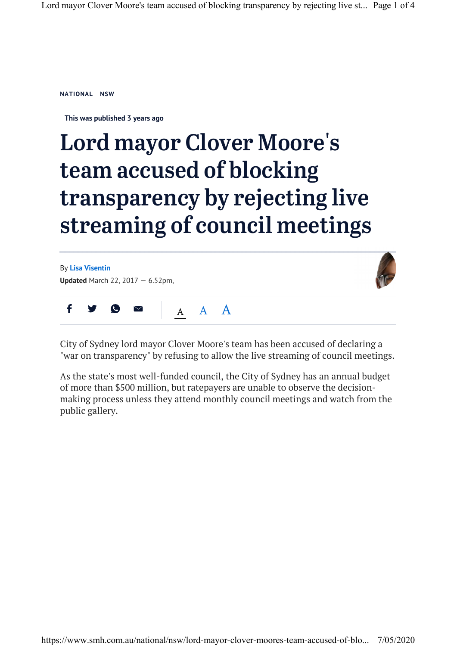**NATIONAL NSW**

**This was published 3 years ago**

## Lord mayor Clover Moore's team accused of blocking transparency by rejecting live streaming of council meetings

By **Lisa Visentin Updated** March 22, 2017 — 6.52pm,



 $A$  A  $A$ f  $\bigtriangledown$ 

City of Sydney lord mayor Clover Moore's team has been accused of declaring a "war on transparency" by refusing to allow the live streaming of council meetings.

As the state's most well-funded council, the City of Sydney has an annual budget of more than \$500 million, but ratepayers are unable to observe the decisionmaking process unless they attend monthly council meetings and watch from the public gallery.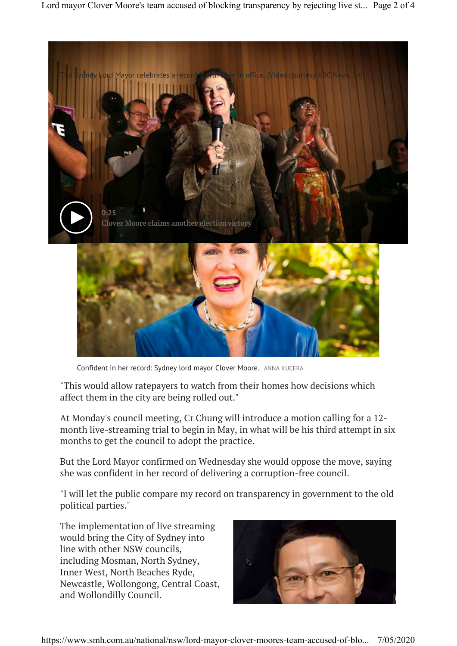

Confident in her record: Sydney lord mayor Clover Moore. ANNA KUCERA

"This would allow ratepayers to watch from their homes how decisions which affect them in the city are being rolled out."

At Monday's council meeting, Cr Chung will introduce a motion calling for a 12 month live-streaming trial to begin in May, in what will be his third attempt in six months to get the council to adopt the practice.

But the Lord Mayor confirmed on Wednesday she would oppose the move, saying she was confident in her record of delivering a corruption-free council.

"I will let the public compare my record on transparency in government to the old political parties."

The implementation of live streaming would bring the City of Sydney into line with other NSW councils, including Mosman, North Sydney, Inner West, North Beaches Ryde, Newcastle, Wollongong, Central Coast, and Wollondilly Council.

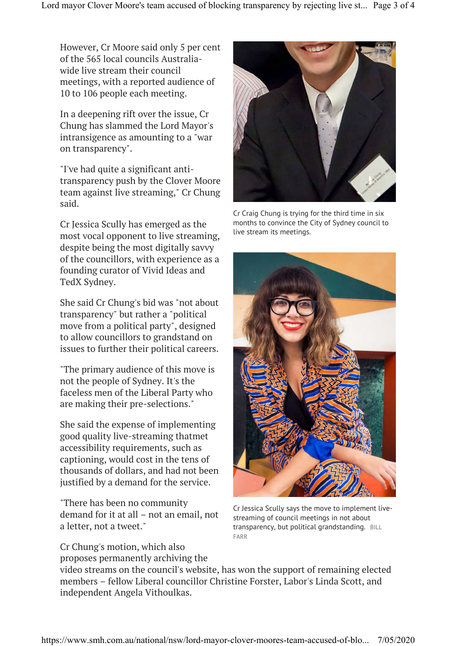However, Cr Moore said only 5 per cent of the 565 local councils Australiawide live stream their council meetings, with a reported audience of 10 to 106 people each meeting.

In a deepening rift over the issue, Cr Chung has slammed the Lord Mayor's intransigence as amounting to a "war on transparency".

"I've had quite a significant antitransparency push by the Clover Moore team against live streaming," Cr Chung said.

Cr Jessica Scully has emerged as the most vocal opponent to live streaming, despite being the most digitally savvy of the councillors, with experience as a founding curator of Vivid Ideas and TedX Sydney.

She said Cr Chung's bid was "not about transparency" but rather a "political move from a political party", designed to allow councillors to grandstand on issues to further their political careers.

"The primary audience of this move is not the people of Sydney. It's the faceless men of the Liberal Party who are making their pre-selections."

She said the expense of implementing good quality live-streaming thatmet accessibility requirements, such as captioning, would cost in the tens of thousands of dollars, and had not been justified by a demand for the service.

"There has been no community demand for it at all – not an email, not a letter, not a tweet."

Cr Chung's motion, which also proposes permanently archiving the



Cr Craig Chung is trying for the third time in six months to convince the City of Sydney council to live stream its meetings.



Cr Jessica Scully says the move to implement livestreaming of council meetings in not about transparency, but political grandstanding. BILL FARR

video streams on the council's website, has won the support of remaining elected members – fellow Liberal councillor Christine Forster, Labor's Linda Scott, and independent Angela Vithoulkas.